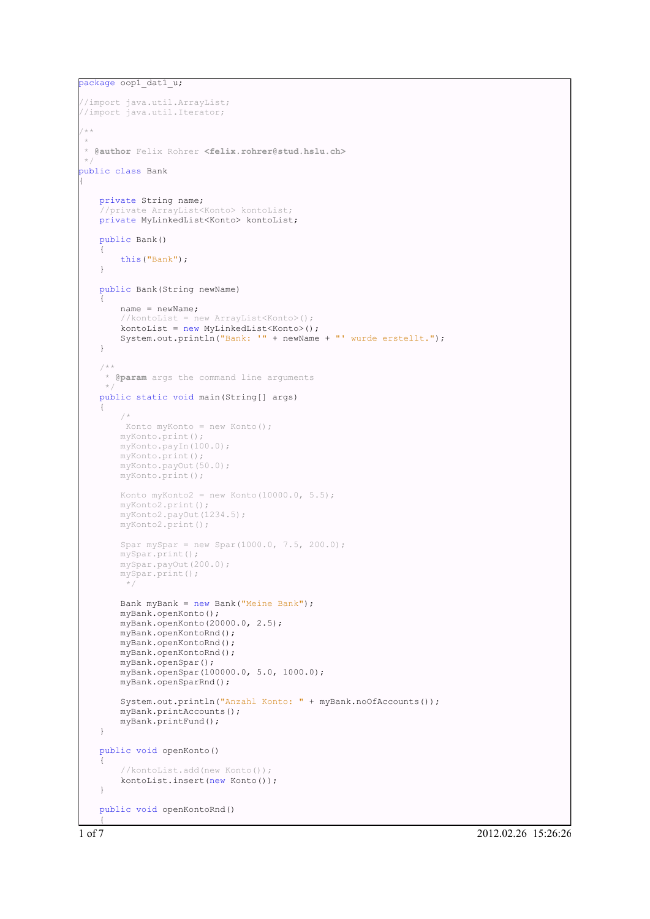```
package oop1 dat1 u;
```
{

```
//import java.util.ArrayList;
//import java.util.Iterator;
/ + +
*
* @author Felix Rohrer <felix.rohrer@stud.hslu.ch>
\starpublic class Bank
   private String name;
   //private ArrayList<Konto> kontoList;
   private MyLinkedList<Konto> kontoList;
   public Bank()
   {
       this("Bank");
   }
   public Bank(String newName)
   {
       name = newName;
        \gammakontoList = new ArrayList<Konto>();
       kontoList = new MyLinkedList<Konto>();
       System.out.println("Bank: '" + newName + "' wurde erstellt.");
   }
   /**
    * @param args the command line arguments
    */
   public static void main(String[] args)
   {
       /*
        Konto myKonto = new Konto();
       myKonto.print();
       myKonto.payIn(100.0);
       myKonto.print();
       myKonto.payOut(50.0);
       myKonto.print();
       Konto myKonto2 = new Konto (10000.0, 5.5);
       myKonto2.print();
       myKonto2.payOut(1234.5);
       myKonto2.print();
       Spar mySpar = new Spar(1000.0, 7.5, 200.0);
       mySpar.print();
       mySpar.payOut(200.0);
       mySpar.print();
        */
       Bank myBank = new Bank("Meine Bank");
       myBank.openKonto();
       myBank.openKonto(20000.0, 2.5);
       myBank.openKontoRnd();
       myBank.openKontoRnd();
       myBank.openKontoRnd();
       myBank.openSpar();
       myBank.openSpar(100000.0, 5.0, 1000.0);
       myBank.openSparRnd();
       System.out.println("Anzahl Konto: " + myBank.noOfAccounts());
       myBank.printAccounts();
       myBank.printFund();
   }
   public void openKonto()
   {
        //kontoList.add(new Konto());
       kontoList.insert(new Konto());
   }
   public void openKontoRnd()
   {
```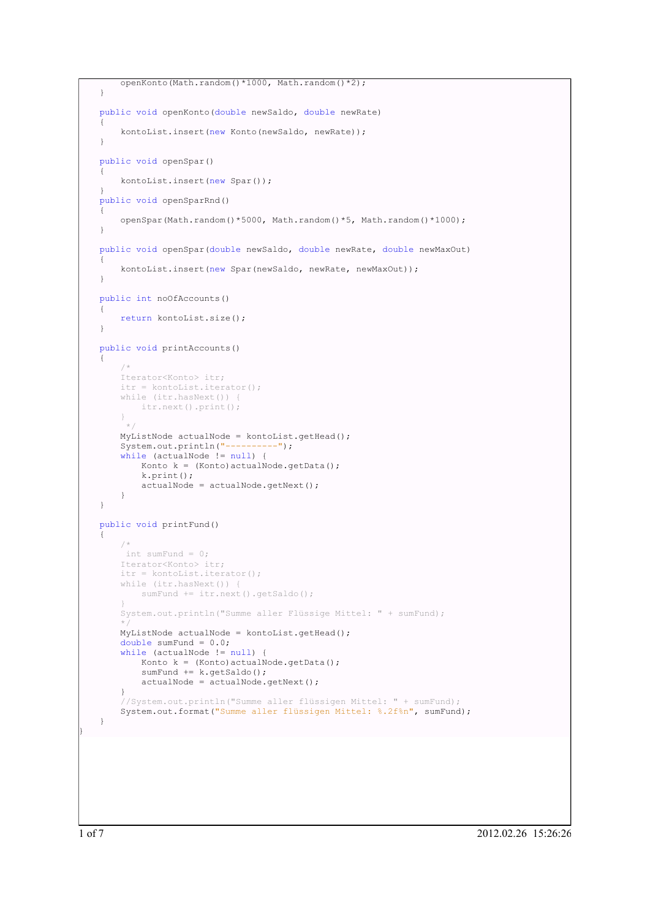```
openKonto(Math.random()*1000, Math.random()*2);
}
public void openKonto(double newSaldo, double newRate)
{
    kontoList.insert(new Konto(newSaldo, newRate));
}
public void openSpar()
{
    kontoList.insert(new Spar());
}
public void openSparRnd()
{
    openSpar(Math.random()*5000, Math.random()*5, Math.random()*1000);
}
public void openSpar(double newSaldo, double newRate, double newMaxOut)
{
    kontoList.insert(new Spar(newSaldo, newRate, newMaxOut));
}
public int noOfAccounts()
{
    return kontoList.size();
}
public void printAccounts()
{
    /*
    Iterator<Konto> itr;
    itr = kontoList.iterator();
    while (itr.hasNext()) {
       itr.next().print();
    }
     */
    MyListNode actualNode = kontoList.getHead();
    System.out.println("----------");
    while (actualNode != null) {
       Konto k = (Konto) actualNode.getData();
        k.print();
       actualNode = actualNode.getNext();
    }
}
public void printFund()
{
    /*
    int sumFund = 0;Iterator<Konto> itr;
    itr = kontoList.iterator();
    while (itr.hasNext())
        sumFund += itr.next().getSaldo();
    }
    System.out.println("Summe aller Flüssige Mittel: " + sumFund);
    */
    MyListNode actualNode = kontoList.getHead();
    double sumFund = 0.0;
    while (actualNode != null) {
       Konto k = (Konto) actualNode.getData();
        sumFund += k.getSaldo();
        actualNode = actualNode.getNext();
    }
    //System.out.println("Summe aller flüssigen Mittel: " + sumFund);
    System.out.format("Summe aller flüssigen Mittel: %.2f%n", sumFund);
}
```
}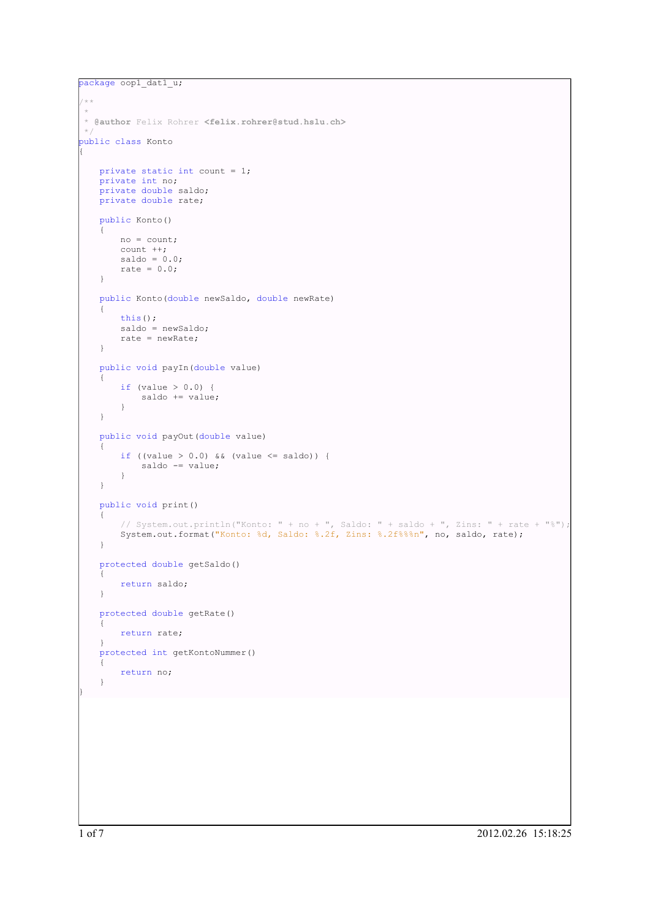```
package oop1 dat1 u;
/ * **
* @author Felix Rohrer <felix.rohrer@stud.hslu.ch>
\simpublic class Konto
{
   private static int count = 1;
   private int no;
   private double saldo;
   private double rate;
   public Konto()
   {
       no = count;
       count ++;
        saldo = 0.0;rate = 0.0;}
   public Konto(double newSaldo, double newRate)
   {
       this();
       saldo = newSaldo;
       rate = newRate;
   }
   public void payIn(double value)
    {
       if (value > 0.0) {
           saldo += value;}
    }
   public void payOut(double value)
   {
       if ((value > 0.0) && (value \le saldo)) {
           saldo -= value;
       }
   }
   public void print()
   {
        // System.out.println("Konto: " + no + ", Saldo: " + saldo + ", Zins: " + rate + "%");
        System.out.format("Konto: %d, Saldo: %.2f, Zins: %.2f%%%n", no, saldo, rate);
    }
   protected double getSaldo()
    {
       return saldo;
    }
   protected double getRate()
    {
       return rate;
    }
   protected int getKontoNummer()
   {
       return no;
    }
}
```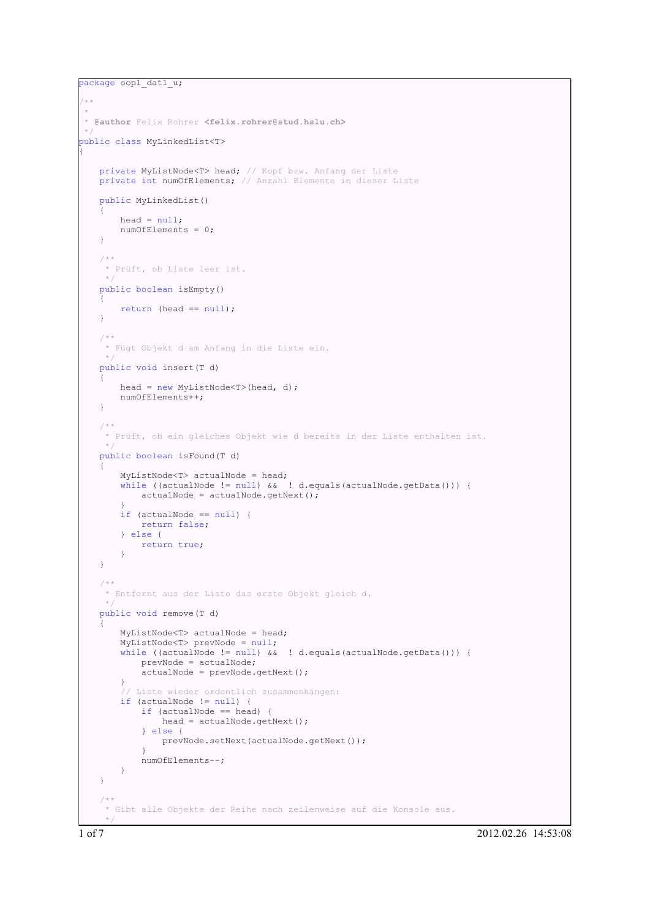```
package oop1 dat1 u;
/**
 *
 * @author Felix Rohrer <felix.rohrer@stud.hslu.ch>
*/
public class MyLinkedList<T>
{
   private MyListNode<T> head; // Kopf bzw. Anfang der Liste
   private int numOfElements; // Anzahl Elemente in dieser Liste
   public MyLinkedList()
    {
       head = null;numOfElements = 0;
    }
   /**
    * Prüft, ob Liste leer ist.
    \rightarrowpublic boolean isEmpty()
    {
       return (head == null);
    }
   /**
    * Fügt Objekt d am Anfang in die Liste ein.
    *public void insert(T d)
    {
       head = new MyListNode\langle T \rangle(head, d);
       numOfElements++;
    }
   /**
    * Prüft, ob ein gleiches Objekt wie d bereits in der Liste enthalten ist.
     */
   public boolean isFound(T d)
    {
       MyListNode<T> actualNode = head;
       while ((actualNode != null) && ! d.equals(actualNode.getData())) {
            actualNode = actualNode.getNext();
        }
        if (actualNode == null) {
           return false;
        } else {
           return true;
        }
    }
    /**
    * Entfernt aus der Liste das erste Objekt gleich d.
    */
   public void remove(T d)
    {
       MyListNode<T> actualNode = head;
       MyListNode<T> prevNode = null;
       while ((actualNode != null) & 1 d.equals(actualNode.getData())) {
            prevNode = actualNode;
            actualNode = prevNode.getNext();
        }
        // Liste wieder ordentlich zusammenhängen:
        if (actualNode != null) {
            if (actualNode == head) {
                head = actualNode.getNext();
            } else {
               prevNode.setNext(actualNode.getNext());
            }
           numOfElements--;
       }
   }
    /**
    * Gibt alle Objekte der Reihe nach zeilenweise auf die Konsole aus.
     */
```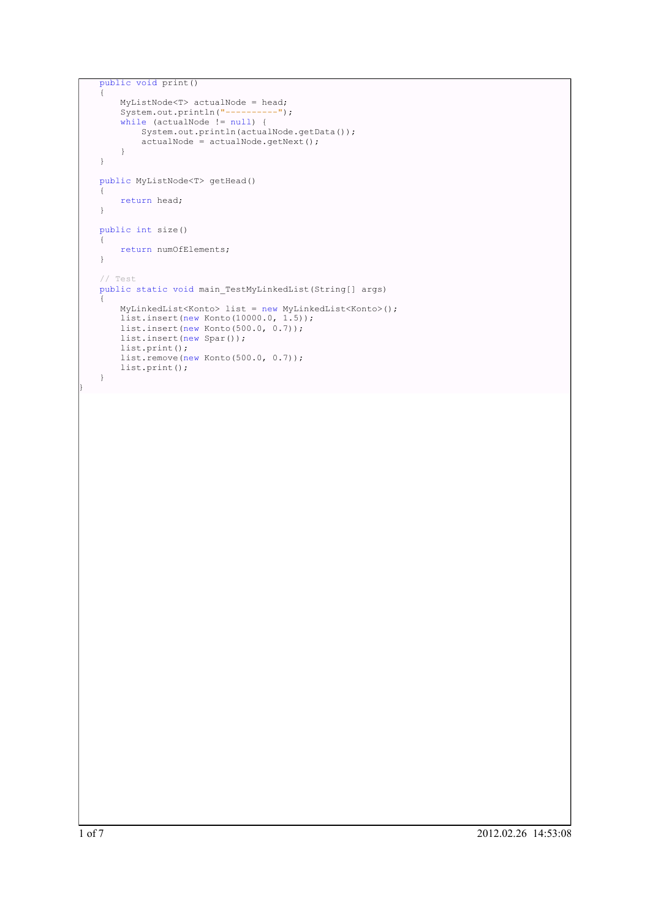```
public void print()
{
    MyListNode<T> actualNode = head;
    System.out.println("----------");
    while (actualNode != null) {
      System.out.println(actualNode.getData());
        \bar{a}ctualNode = \bar{a}ctualNode.getNext();
    }
}
public MyListNode<T> getHead()
{
    return head;
}
public int size()
\left\{ \right.return numOfElements;
}
// Test
public static void main_TestMyLinkedList(String[] args)
{
    MyLinkedList<Konto> list = new MyLinkedList<Konto>();
    list.insert(new Konto(10000.0, 1.5));
    list.insert(new Konto(500.0, 0.7));
    list.insert(new Spar());
    list.print();
    list.remove(new Konto(500.0, 0.7));
    list.print();
}
```
}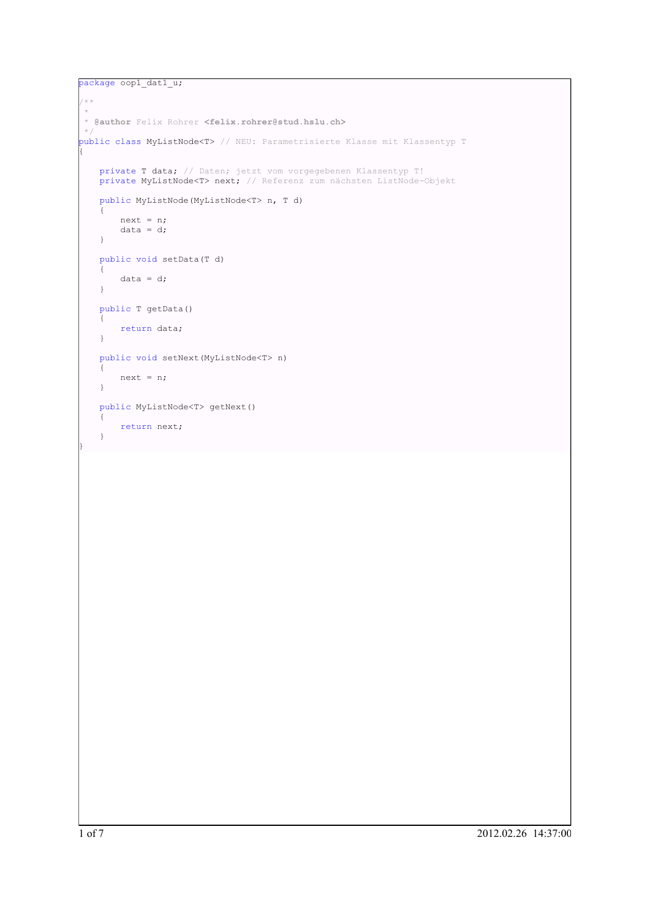```
package oop1 dat1 u;
/ * *\star* @author Felix Rohrer <felix.rohrer@stud.hslu.ch>
\simpublic class MyListNode<T> // NEU: Parametrisierte Klasse mit Klassentyp T
{
   private T data; // Daten; jetzt vom vorgegebenen Klassentyp T!
   private MyListNode<T> next; // Referenz zum nächsten ListNode-Objekt
   public MyListNode(MyListNode<T> n, T d)
   {
       next = n;
       data = d;}
   public void setData(T d)
   \left\{ \right.data = d;}
   public T getData()
    {
       return data;
    }
   public void setNext(MyListNode<T> n)
    {
       next = n;}
   public MyListNode<T> getNext()
    {
       return next;
    }
}
```